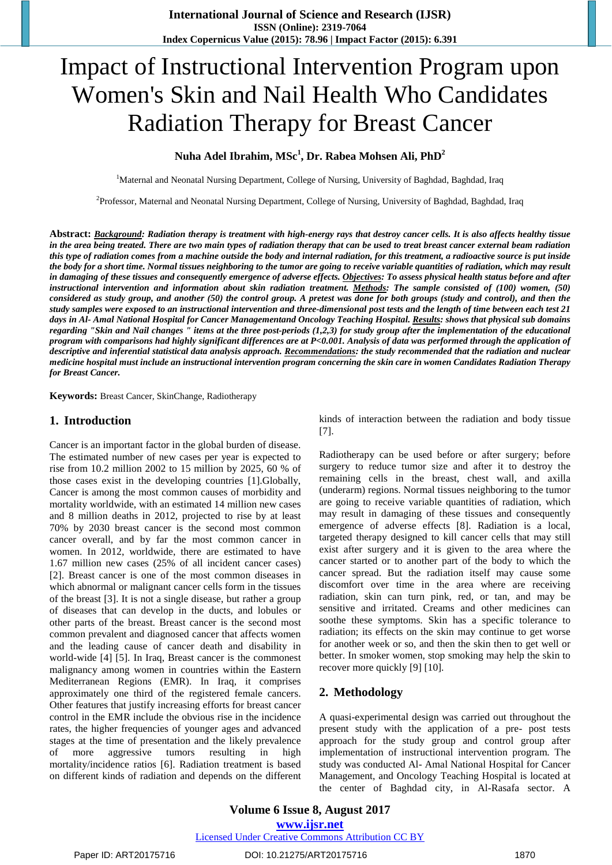# Impact of Instructional Intervention Program upon Women's Skin and Nail Health Who Candidates Radiation Therapy for Breast Cancer

## **Nuha Adel Ibrahim, MSc<sup>1</sup> , Dr. Rabea Mohsen Ali, PhD<sup>2</sup>**

<sup>1</sup>Maternal and Neonatal Nursing Department, College of Nursing, University of Baghdad, Baghdad, Iraq

<sup>2</sup>Professor, Maternal and Neonatal Nursing Department, College of Nursing, University of Baghdad, Baghdad, Iraq

Abstract: Background: Radiation therapy is treatment with high-energy rays that destroy cancer cells. It is also affects healthy tissue in the area being treated. There are two main types of radiation therapy that can be used to treat breast cancer external beam radiation this type of radiation comes from a machine outside the body and internal radiation, for this treatment, a radioactive source is put inside the body for a short time. Normal tissues neighboring to the tumor are going to receive variable quantities of radiation, which may result in damaging of these tissues and consequently emergence of adverse effects. Objectives: To assess physical health status before and after instructional intervention and information about skin radiation treatment. Methods: The sample consisted of  $(100)$  women,  $(50)$ considered as study group, and another (50) the control group. A pretest was done for both groups (study and control), and then the study samples were exposed to an instructional intervention and three-dimensional post tests and the length of time between each test 21 days in Al- Amal National Hospital for Cancer Managementand Oncology Teaching Hospital. Results: shows that physical sub domains regarding "Skin and Nail changes" items at the three post-periods (1,2,3) for study group after the implementation of the educational program with comparisons had highly significant differences are at P<0.001. Analysis of data was performed through the application of descriptive and inferential statistical data analysis approach. Recommendations: the study recommended that the radiation and nuclear medicine hospital must include an instructional intervention program concerning the skin care in women Candidates Radiation Therapy *for Breast Cancer.*

**Keywords:** Breast Cancer, SkinChange, Radiotherapy

#### **1. Introduction**

Cancer is an important factor in the global burden of disease. The estimated number of new cases per year is expected to rise from 10.2 million 2002 to 15 million by 2025, 60 % of those cases exist in the developing countries [1].Globally, Cancer is among the most common causes of morbidity and mortality worldwide, with an estimated 14 million new cases and 8 million deaths in 2012, projected to rise by at least 70% by 2030 breast cancer is the second most common cancer overall, and by far the most common cancer in women. In 2012, worldwide, there are estimated to have 1.67 million new cases (25% of all incident cancer cases) [2]. Breast cancer is one of the most common diseases in which abnormal or malignant cancer cells form in the tissues of the breast [3]. It is not a single disease, but rather a group of diseases that can develop in the ducts, and lobules or other parts of the breast. Breast cancer is the second most common prevalent and diagnosed cancer that affects women and the leading cause of cancer death and disability in world-wide [4] [5]. In Iraq, Breast cancer is the commonest malignancy among women in countries within the Eastern Mediterranean Regions (EMR). In Iraq, it comprises approximately one third of the registered female cancers. Other features that justify increasing efforts for breast cancer control in the EMR include the obvious rise in the incidence rates, the higher frequencies of younger ages and advanced stages at the time of presentation and the likely prevalence of more aggressive tumors resulting in high mortality/incidence ratios [6]. Radiation treatment is based on different kinds of radiation and depends on the different kinds of interaction between the radiation and body tissue [7].

Radiotherapy can be used before or after surgery; before surgery to reduce tumor size and after it to destroy the remaining cells in the breast, chest wall, and axilla (underarm) regions. Normal tissues neighboring to the tumor are going to receive variable quantities of radiation, which may result in damaging of these tissues and consequently emergence of adverse effects [8]. Radiation is a local, targeted therapy designed to kill cancer cells that may still exist after surgery and it is given to the area where the cancer started or to another part of the body to which the cancer spread. But the radiation itself may cause some discomfort over time in the area where are receiving radiation, skin can turn pink, red, or tan, and may be sensitive and irritated. Creams and other medicines can soothe these symptoms. Skin has a specific tolerance to radiation; its effects on the skin may continue to get worse for another week or so, and then the skin then to get well or better. In smoker women, stop smoking may help the skin to recover more quickly [9] [10].

#### **2. Methodology**

A quasi-experimental design was carried out throughout the present study with the application of a pre- post tests approach for the study group and control group after implementation of instructional intervention program. The study was conducted Al- Amal National Hospital for Cancer Management, and Oncology Teaching Hospital is located at the center of Baghdad city, in Al-Rasafa sector. A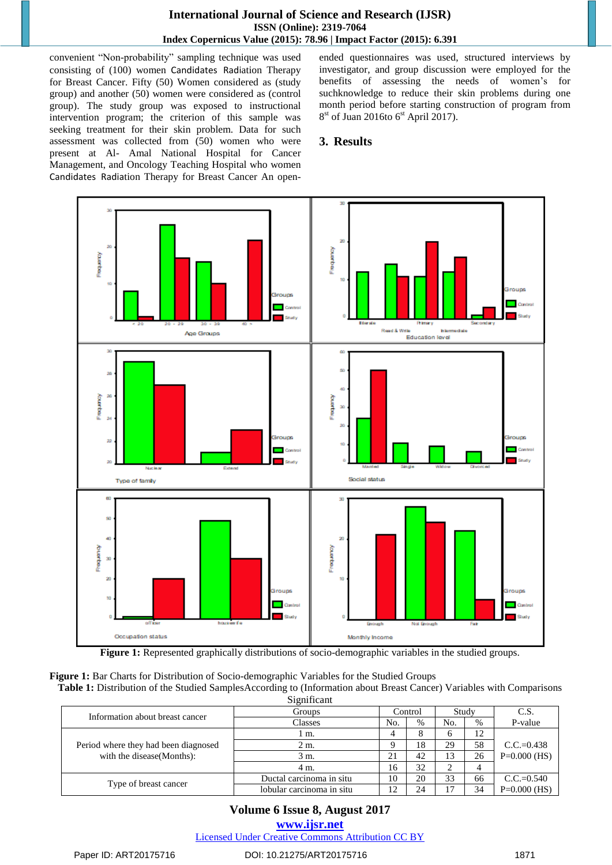convenient "Non-probability" sampling technique was used consisting of (100) women Candidates Radiation Therapy for Breast Cancer. Fifty (50) Women considered as (study group) and another (50) women were considered as (control group). The study group was exposed to instructional intervention program; the criterion of this sample was seeking treatment for their skin problem. Data for such assessment was collected from (50) women who were present at Al- Amal National Hospital for Cancer Management, and Oncology Teaching Hospital who women Candidates Radiation Therapy for Breast Cancer An openended questionnaires was used, structured interviews by investigator, and group discussion were employed for the benefits of assessing the needs of women's for suchknowledge to reduce their skin problems during one month period before starting construction of program from 8<sup>st</sup> of Juan 2016to 6<sup>st</sup> April 2017).

## **3. Results**



**Figure 1:** Represented graphically distributions of socio-demographic variables in the studied groups.

**Figure 1:** Bar Charts for Distribution of Socio-demographic Variables for the Studied Groups

**Table 1:** Distribution of the Studied SamplesAccording to (Information about Breast Cancer) Variables with Comparisons **Significant** 

| Information about breast cancer      | Groups                    |     | Control | Study |      | C.S.           |
|--------------------------------------|---------------------------|-----|---------|-------|------|----------------|
|                                      | Classes                   | No. | $\%$    | No.   | $\%$ | P-value        |
|                                      | m.                        |     | 8       |       | 12   |                |
| Period where they had been diagnosed | 2 m.                      |     | 18      | 29    | 58   | $C.C.=0.438$   |
| with the disease (Months):           | 3 m.                      | 21  | 42      | 13    | 26   | $P=0.000$ (HS) |
|                                      | 4 m.                      | 16  | 32      |       |      |                |
|                                      | Ductal carcinoma in situ  | 10  | 20      | 33    | 66   | $C.C.=0.540$   |
| Type of breast cancer                | lobular carcinoma in situ | 12  | 24      | 17    | 34   | $P=0.000$ (HS) |

## **Volume 6 Issue 8, August 2017**

**<www.ijsr.net>**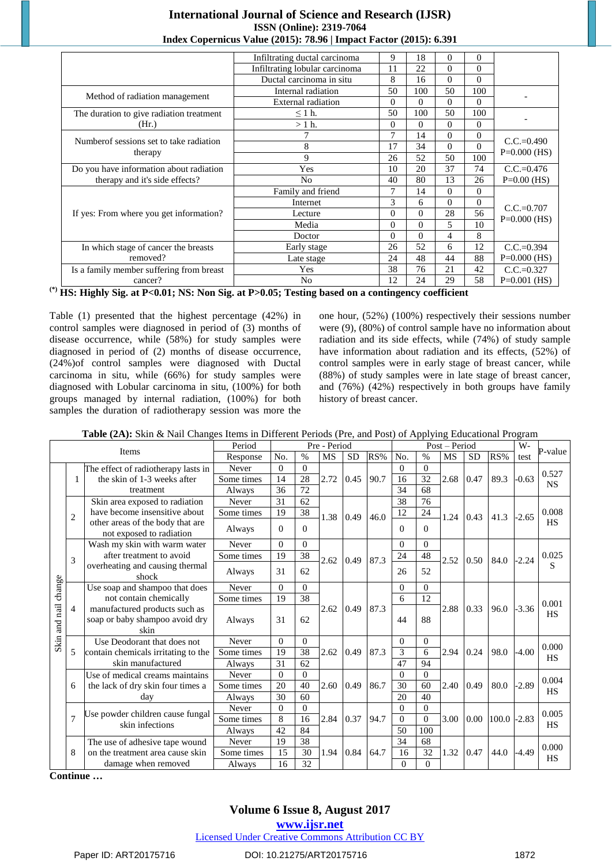|                                          | Infiltrating ductal carcinoma  | 9              | 18       | $\Omega$ | 0              |                |
|------------------------------------------|--------------------------------|----------------|----------|----------|----------------|----------------|
|                                          | Infiltrating lobular carcinoma | 11             | 22       | $\theta$ | $\Omega$       |                |
|                                          | Ductal carcinoma in situ       | 8              | 16       | $\Omega$ | $\Omega$       |                |
|                                          | Internal radiation             | 50             | 100      | 50       | 100            |                |
| Method of radiation management           | <b>External</b> radiation      | $\Omega$       | $\Omega$ | $\Omega$ | $\theta$       |                |
| The duration to give radiation treatment | $\leq 1$ h.                    | 50             | 100      | 50       | 100            |                |
| (Hr.)                                    | $>1$ h.                        | $\overline{0}$ | $\theta$ | $\Omega$ | 0              |                |
|                                          |                                | 7              | 14       | $\Omega$ | $\overline{0}$ |                |
| Numberof sessions set to take radiation  | 8                              | 17             | 34       | $\Omega$ | $\theta$       | $C.C.=0.490$   |
| therapy                                  | 9                              | 26             | 52       | 50       | 100            | $P=0.000$ (HS) |
| Do you have information about radiation  | Yes                            | 10             | 20       | 37       | 74             | $C.C.=0.476$   |
| therapy and it's side effects?           | N <sub>o</sub>                 | 40             | 80       | 13       | 26             | $P=0.00$ (HS)  |
|                                          | Family and friend              | 7              | 14       | $\Omega$ | 0              |                |
|                                          | Internet                       | 3              | 6        | $\Omega$ | $\Omega$       |                |
| If yes: From where you get information?  | Lecture                        | $\Omega$       | $\Omega$ | 28       | 56             | $C.C.=0.707$   |
|                                          | Media                          | $\overline{0}$ | $\theta$ | 5        | 10             | $P=0.000$ (HS) |
|                                          | Doctor                         | $\Omega$       | $\Omega$ | 4        | 8              |                |
| In which stage of cancer the breasts     | Early stage                    | 26             | 52       | 6        | 12             | $C.C.=0.394$   |
| removed?                                 | Late stage                     | 24             | 48       | 44       | 88             | $P=0.000$ (HS) |
| Is a family member suffering from breast | Yes                            | 38             | 76       | 21       | 42             | $C.C.=0.327$   |
| cancer?                                  | No                             | 12             | 24       | 29       | 58             | $P=0.001$ (HS) |

**(\*) HS: Highly Sig. at P<0.01; NS: Non Sig. at P>0.05; Testing based on a contingency coefficient**

Table (1) presented that the highest percentage (42%) in control samples were diagnosed in period of (3) months of disease occurrence, while (58%) for study samples were diagnosed in period of (2) months of disease occurrence, (24%)of control samples were diagnosed with Ductal carcinoma in situ, while (66%) for study samples were diagnosed with Lobular carcinoma in situ, (100%) for both groups managed by internal radiation, (100%) for both samples the duration of radiotherapy session was more the one hour, (52%) (100%) respectively their sessions number were (9), (80%) of control sample have no information about radiation and its side effects, while (74%) of study sample have information about radiation and its effects, (52%) of control samples were in early stage of breast cancer, while (88%) of study samples were in late stage of breast cancer, and (76%) (42%) respectively in both groups have family history of breast cancer.

| Table (2A): Skin & Nail Changes Items in Different Periods (Pre, and Post) of Applying Educational Program |  |  |
|------------------------------------------------------------------------------------------------------------|--|--|
|------------------------------------------------------------------------------------------------------------|--|--|

|                      |                |                                                                         | Period     |          |          | Pre - Period |           |      |                |          | Post - Period |           |       | W-      | P-value   |
|----------------------|----------------|-------------------------------------------------------------------------|------------|----------|----------|--------------|-----------|------|----------------|----------|---------------|-----------|-------|---------|-----------|
|                      |                | <b>Items</b>                                                            | Response   | No.      | $\%$     | MS           | <b>SD</b> | RS%  | No.            | $\%$     | <b>MS</b>     | <b>SD</b> | RS%   | test    |           |
|                      |                | The effect of radiotherapy lasts in                                     | Never      | $\Omega$ | $\Omega$ |              |           |      | $\Omega$       | $\theta$ |               |           |       |         | 0.527     |
|                      | 1              | the skin of 1-3 weeks after                                             | Some times | 14       | 28       | 2.72         | 0.45      | 90.7 | 16             | 32       | 2.68          | 0.47      | 89.3  | $-0.63$ | <b>NS</b> |
|                      |                | treatment                                                               | Always     | 36       | 72       |              |           |      | 34             | 68       |               |           |       |         |           |
|                      |                | Skin area exposed to radiation                                          | Never      | 31       | 62       |              |           |      | 38             | 76       |               |           |       |         |           |
|                      | $\overline{2}$ | have become insensitive about                                           | Some times | 19       | 38       | 1.38         | 0.49      | 46.0 | 12             | 24       | 1.24          | 0.43      | 41.3  | $-2.65$ | 0.008     |
|                      |                | other areas of the body that are<br>not exposed to radiation            | Always     | $\Omega$ | $\Omega$ |              |           |      | $\Omega$       | $\Omega$ |               |           |       |         | <b>HS</b> |
|                      |                | Wash my skin with warm water                                            | Never      | $\Omega$ | $\Omega$ |              |           |      | $\Omega$       | $\Omega$ |               |           |       |         |           |
|                      | 3              | after treatment to avoid                                                | Some times | 19       | 38       | 2.62         | 0.49      | 87.3 | 24             | 48       | 2.52          | 0.50      | 84.0  | $-2.24$ | 0.025     |
|                      |                | overheating and causing thermal<br>shock                                | Always     | 31       | 62       |              |           |      | 26             | 52       |               |           |       |         | S         |
|                      |                | Use soap and shampoo that does                                          | Never      | $\Omega$ | $\Omega$ |              |           |      | $\Omega$       | $\Omega$ |               |           |       |         |           |
|                      |                | not contain chemically                                                  | Some times | 19       | 38       |              |           |      | 6              | 12       |               |           |       |         | 0.001     |
| Skin and nail change | $\overline{4}$ | manufactured products such as<br>soap or baby shampoo avoid dry<br>skin | Always     | 31       | 62       | 2.62         | 0.49      | 87.3 | 44             | 88       | 2.88          | 0.33      | 96.0  | $-3.36$ | <b>HS</b> |
|                      |                | Use Deodorant that does not                                             | Never      | $\Omega$ | $\Omega$ |              |           |      | $\Omega$       | $\Omega$ |               |           |       |         | 0.000     |
|                      | 5              | contain chemicals irritating to the                                     | Some times | 19       | 38       | 2.62         | 0.49      | 87.3 | 3              | 6        | 2.94          | 0.24      | 98.0  | $-4.00$ | <b>HS</b> |
|                      |                | skin manufactured                                                       | Always     | 31       | 62       |              |           |      | 47             | 94       |               |           |       |         |           |
|                      |                | Use of medical creams maintains                                         | Never      | $\Omega$ | $\Omega$ |              |           |      | $\Omega$       | $\Omega$ |               |           |       |         | 0.004     |
|                      | 6              | the lack of dry skin four times a                                       | Some times | 20       | 40       | 2.60         | 0.49      | 86.7 | 30             | 60       | 2.40          | 0.49      | 80.0  | $-2.89$ | HS        |
|                      |                | day                                                                     | Always     | 30       | 60       |              |           |      | 20             | 40       |               |           |       |         |           |
|                      |                | Use powder children cause fungal                                        | Never      | $\Omega$ | $\Omega$ |              |           |      | $\Omega$       | $\Omega$ |               |           |       |         | 0.005     |
|                      | $\overline{7}$ | skin infections                                                         | Some times | 8        | 16       | 2.84         | 0.37      | 94.7 | $\Omega$       | $\theta$ | 3.00          | 0.00      | 100.0 | $-2.83$ | HS        |
|                      |                |                                                                         | Always     | 42       | 84       |              |           |      | 50             | 100      |               |           |       |         |           |
|                      |                | The use of adhesive tape wound                                          | Never      | 19       | 38       |              |           |      | 34             | 68       |               |           |       |         | 0.000     |
|                      | 8              | on the treatment area cause skin                                        | Some times | 15       | 30       | 1.94         | 0.84      | 64.7 | 16             | 32       | 1.32          | 0.47      | 44.0  | $-4.49$ | HS        |
|                      |                | damage when removed                                                     | Always     | 16       | 32       |              |           |      | $\overline{0}$ | $\Omega$ |               |           |       |         |           |

**Continue …**

# **Volume 6 Issue 8, August 2017**

**<www.ijsr.net>**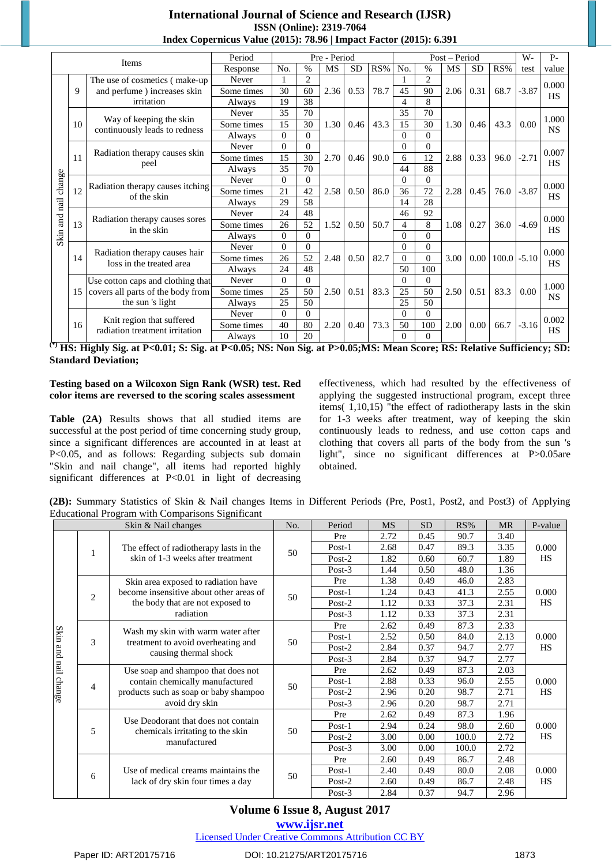|               |    |                                                             | Period     |          |          | Pre - Period |           |      |          |                | Post – Period |                   |                | W-      | $P -$              |
|---------------|----|-------------------------------------------------------------|------------|----------|----------|--------------|-----------|------|----------|----------------|---------------|-------------------|----------------|---------|--------------------|
|               |    | <b>Items</b>                                                | Response   | No.      | $\%$     | <b>MS</b>    | <b>SD</b> | RS%  | No.      | $\%$           | MS            | <b>SD</b>         | RS%            | test    | value              |
|               |    | The use of cosmetics (make-up)                              | Never      |          | 2        |              |           |      |          | $\overline{2}$ |               |                   |                |         |                    |
|               | 9  | and perfume) increases skin                                 | Some times | 30       | 60       | 2.36         | 0.53      | 78.7 | 45       | 90             | 2.06          | 0.31              | 68.7           | $-3.87$ | 0.000<br><b>HS</b> |
|               |    | irritation                                                  | Always     | 19       | 38       |              |           |      | 4        | 8              |               |                   |                |         |                    |
|               |    |                                                             | Never      | 35       | 70       |              |           |      | 35       | 70             |               |                   |                |         | 1.000              |
|               | 10 | Way of keeping the skin<br>continuously leads to redness    | Some times | 15       | 30       | 1.30         | 0.46      | 43.3 | 15       | 30             | 1.30          | 0.46              | 43.3           | 0.00    | <b>NS</b>          |
|               |    |                                                             | Always     | $\Omega$ | $\Omega$ |              |           |      | $\Omega$ | $\Omega$       |               |                   |                |         |                    |
|               |    |                                                             | Never      | $\Omega$ | $\Omega$ |              |           |      | 0        | $\Omega$       |               |                   |                |         | 0.007              |
|               | 11 | Radiation therapy causes skin<br>peel                       | Some times | 15       | 30       | 2.70         | 0.46      | 90.0 | 6        | 12             | 2.88          | 0.33              | 96.0           | $-2.71$ | <b>HS</b>          |
|               |    |                                                             | Always     | 35       | 70       |              |           |      | 44       | 88             |               |                   |                |         |                    |
| change        |    |                                                             | Never      | $\Omega$ | $\Omega$ |              |           |      | $\Omega$ | $\Omega$       |               |                   |                |         | 0.000              |
|               | 12 | Radiation therapy causes itching<br>of the skin             | Some times | 21       | 42       | 2.58         | 0.50      | 86.0 | 36       | 72             | 2.28          | 0.45              | 76.0           | $-3.87$ | HS                 |
|               |    |                                                             | Always     | 29       | 58       |              |           |      | 14       | 28             |               |                   |                |         |                    |
| Skin and nail |    |                                                             | Never      | 24       | 48       |              |           |      | 46       | 92             |               |                   |                |         | 0.000              |
|               | 13 | Radiation therapy causes sores<br>in the skin               | Some times | 26       | 52       | 1.52         | 0.50      | 50.7 | 4        | 8              | 1.08          | 0.27              | 36.0           | $-4.69$ | <b>HS</b>          |
|               |    |                                                             | Always     | $\Omega$ | $\Omega$ |              |           |      | 0        | $\Omega$       |               |                   |                |         |                    |
|               |    |                                                             | Never      | $\Omega$ | $\Omega$ |              |           |      | 0        | $\Omega$       |               |                   |                |         | 0.000              |
|               | 14 | Radiation therapy causes hair<br>loss in the treated area   | Some times | 26       | 52       | 2.48         | 0.50      | 82.7 | $\Omega$ | $\theta$       | 3.00          | 0.00 <sub>1</sub> | $100.0 - 5.10$ |         | <b>HS</b>          |
|               |    |                                                             | Always     | 24       | 48       |              |           |      | 50       | 100            |               |                   |                |         |                    |
|               |    | Use cotton caps and clothing that                           | Never      | $\Omega$ | $\theta$ |              |           |      | $\Omega$ | $\Omega$       |               |                   |                |         | 1.000              |
|               |    | 15 covers all parts of the body from                        | Some times | 25       | 50       | 2.50         | 0.51      | 83.3 | 25       | 50             | 2.50          | 0.51              | 83.3           | 0.00    | <b>NS</b>          |
|               |    | the sun 's light                                            | Always     | 25       | 50       |              |           |      | 25       | 50             |               |                   |                |         |                    |
|               |    |                                                             | Never      | $\Omega$ | $\Omega$ |              |           |      | 0        | $\Omega$       |               |                   |                |         | 0.002              |
|               | 16 | Knit region that suffered<br>radiation treatment irritation | Some times | 40       | 80       | 2.20         | 0.40      | 73.3 | 50       | 100            | 2.00          | 0.00              | 66.7           | $-3.16$ | <b>HS</b>          |
|               |    |                                                             | Always     | 10       | 20       |              |           |      | $\Omega$ | $\Omega$       |               |                   |                |         |                    |

<sup>(\*)</sup> HS: Highly Sig. at P<0.01; S: Sig. at P<0.05; NS: Non Sig. at P>0.05; MS: Mean Score; RS: Relative Sufficiency; SD: **Standard Deviation;**

#### **Testing based on a Wilcoxon Sign Rank (WSR) test. Red color items are reversed to the scoring scales assessment**

**Table (2A)** Results shows that all studied items are successful at the post period of time concerning study group, since a significant differences are accounted in at least at P<0.05, and as follows: Regarding subjects sub domain "Skin and nail change", all items had reported highly significant differences at P<0.01 in light of decreasing effectiveness, which had resulted by the effectiveness of applying the suggested instructional program, except three items( 1,10,15) "the effect of radiotherapy lasts in the skin for 1-3 weeks after treatment, way of keeping the skin continuously leads to redness, and use cotton caps and clothing that covers all parts of the body from the sun 's light", since no significant differences at P>0.05are obtained.

**(2B):** Summary Statistics of Skin & Nail changes Items in Different Periods (Pre, Post1, Post2, and Post3) of Applying Educational Program with Comparisons Significant

|                      |                | Skin & Nail changes                                                      | No. | Period    | <b>MS</b> | <b>SD</b> | RS%   | MR   | P-value   |
|----------------------|----------------|--------------------------------------------------------------------------|-----|-----------|-----------|-----------|-------|------|-----------|
|                      |                |                                                                          |     | Pre       | 2.72      | 0.45      | 90.7  | 3.40 |           |
|                      | 1              | The effect of radiotherapy lasts in the                                  | 50  | Post-1    | 2.68      | 0.47      | 89.3  | 3.35 | 0.000     |
|                      |                | skin of 1-3 weeks after treatment                                        |     | Post- $2$ | 1.82      | 0.60      | 60.7  | 1.89 | <b>HS</b> |
|                      |                |                                                                          |     | Post- $3$ | 1.44      | 0.50      | 48.0  | 1.36 |           |
|                      |                | Skin area exposed to radiation have                                      |     | Pre       | 1.38      | 0.49      | 46.0  | 2.83 |           |
|                      | 2              | become insensitive about other areas of                                  | 50  | $Post-1$  | 1.24      | 0.43      | 41.3  | 2.55 | 0.000     |
|                      |                | the body that are not exposed to                                         |     | Post-2    | 1.12      | 0.33      | 37.3  | 2.31 | <b>HS</b> |
|                      |                | radiation                                                                |     | Post- $3$ | 1.12      | 0.33      | 37.3  | 2.31 |           |
|                      |                |                                                                          |     | Pre       | 2.62      | 0.49      | 87.3  | 2.33 |           |
|                      | 3              | Wash my skin with warm water after<br>treatment to avoid overheating and | 50  | $Post-1$  | 2.52      | 0.50      | 84.0  | 2.13 | 0.000     |
|                      |                | causing thermal shock                                                    |     | Post-2    | 2.84      | 0.37      | 94.7  | 2.77 | <b>HS</b> |
| Skin and nail change |                |                                                                          |     | Post- $3$ | 2.84      | 0.37      | 94.7  | 2.77 |           |
|                      |                | Use soap and shampoo that does not                                       |     | Pre       | 2.62      | 0.49      | 87.3  | 2.03 |           |
|                      | $\overline{4}$ | contain chemically manufactured                                          | 50  | Post-1    | 2.88      | 0.33      | 96.0  | 2.55 | 0.000     |
|                      |                | products such as soap or baby shampoo                                    |     | Post- $2$ | 2.96      | 0.20      | 98.7  | 2.71 | <b>HS</b> |
|                      |                | avoid dry skin                                                           |     | Post-3    | 2.96      | 0.20      | 98.7  | 2.71 |           |
|                      |                | Use Deodorant that does not contain                                      |     | Pre       | 2.62      | 0.49      | 87.3  | 1.96 |           |
|                      | 5              | chemicals irritating to the skin                                         | 50  | Post-1    | 2.94      | 0.24      | 98.0  | 2.60 | 0.000     |
|                      |                | manufactured                                                             |     | Post- $2$ | 3.00      | 0.00      | 100.0 | 2.72 | <b>HS</b> |
|                      |                |                                                                          |     | Post- $3$ | 3.00      | 0.00      | 100.0 | 2.72 |           |
|                      |                |                                                                          |     | Pre       | 2.60      | 0.49      | 86.7  | 2.48 |           |
|                      | 6              | Use of medical creams maintains the                                      | 50  | $Post-1$  | 2.40      | 0.49      | 80.0  | 2.08 | 0.000     |
|                      |                | lack of dry skin four times a day                                        |     | Post-2    | 2.60      | 0.49      | 86.7  | 2.48 | HS        |
|                      |                |                                                                          |     | Post- $3$ | 2.84      | 0.37      | 94.7  | 2.96 |           |

# **Volume 6 Issue 8, August 2017**

# **<www.ijsr.net>**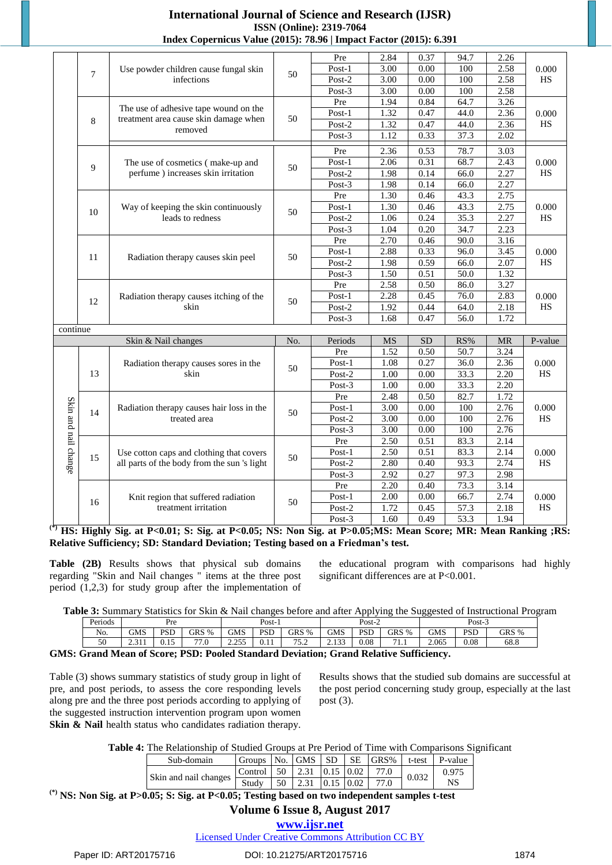|                      |                |                                             |     | Pre       | 2.84              | 0.37              | 94.7              | 2.26      |           |
|----------------------|----------------|---------------------------------------------|-----|-----------|-------------------|-------------------|-------------------|-----------|-----------|
|                      | $\overline{7}$ | Use powder children cause fungal skin       | 50  | Post-1    | 3.00              | $0.00\,$          | 100               | 2.58      | 0.000     |
|                      |                | infections                                  |     | $Post-2$  | 3.00              | $\overline{0.00}$ | 100               | 2.58      | <b>HS</b> |
|                      |                |                                             |     | Post-3    | 3.00              | $\overline{0.00}$ | 100               | 2.58      |           |
|                      |                |                                             |     | Pre       | 1.94              | 0.84              | 64.7              | 3.26      |           |
|                      |                | The use of adhesive tape wound on the       |     | $Post-1$  | 1.32              | 0.47              | 44.0              | 2.36      | 0.000     |
|                      | 8              | treatment area cause skin damage when       | 50  | $Post-2$  | 1.32              | 0.47              | 44.0              | 2.36      | HS        |
|                      |                | removed                                     |     | Post-3    | 1.12              | 0.33              | 37.3              | 2.02      |           |
|                      |                |                                             |     | Pre       | 2.36              | 0.53              | 78.7              | 3.03      |           |
|                      |                | The use of cosmetics (make-up and           |     | Post-1    | 2.06              | 0.31              | 68.7              | 2.43      | 0.000     |
|                      | 9              | perfume) increases skin irritation          | 50  | Post-2    | 1.98              | 0.14              | 66.0              | 2.27      | HS        |
|                      |                |                                             |     | Post-3    | 1.98              | 0.14              | 66.0              | 2.27      |           |
|                      |                |                                             |     | Pre       | 1.30              | 0.46              | 43.3              | 2.75      |           |
|                      |                | Way of keeping the skin continuously        |     | Post-1    | 1.30              | 0.46              | 43.3              | 2.75      | 0.000     |
|                      | 10             | leads to redness                            | 50  | $Post-2$  | 1.06              | 0.24              | 35.3              | 2.27      | HS        |
|                      |                |                                             |     | $Post-3$  | 1.04              | 0.20              | 34.7              | 2.23      |           |
|                      |                |                                             |     | Pre       | 2.70              | 0.46              | 90.0              | 3.16      |           |
|                      |                |                                             |     | Post-1    | 2.88              | 0.33              | 96.0              | 3.45      | 0.000     |
|                      | 11             | Radiation therapy causes skin peel          | 50  | $Post-2$  | 1.98              | 0.59              | 66.0              | 2.07      | HS        |
|                      |                |                                             |     | $Post-3$  | 1.50              | 0.51              | 50.0              | 1.32      |           |
|                      |                |                                             |     | Pre       | 2.58              | 0.50              | 86.0              | 3.27      |           |
|                      |                | Radiation therapy causes itching of the     |     | Post-1    | 2.28              | 0.45              | 76.0              | 2.83      | 0.000     |
|                      | 12             | skin                                        | 50  | $Post-2$  | 1.92              | 0.44              | 64.0              | 2.18      | HS        |
|                      |                |                                             |     | $Post-3$  | 1.68              | 0.47              | 56.0              | 1.72      |           |
| continue             |                |                                             |     |           |                   |                   |                   |           |           |
|                      |                | Skin & Nail changes                         | No. | Periods   | MS                | <b>SD</b>         | RS%               | <b>MR</b> | P-value   |
|                      |                |                                             |     | Pre       | 1.52              | 0.50              | 50.7              | 3.24      |           |
|                      |                | Radiation therapy causes sores in the       |     | Post-1    | 1.08              | 0.27              | 36.0              | 2.36      | 0.000     |
|                      | 13             | skin                                        | 50  | Post-2    | 1.00              | 0.00              | 33.3              | 2.20      | $\rm{HS}$ |
|                      |                |                                             |     | Post-3    | 1.00              | 0.00              | 33.3              | 2.20      |           |
|                      |                |                                             |     | Pre       | 2.48              | 0.50              | 82.7              | 1.72      |           |
| Skin and nail change |                | Radiation therapy causes hair loss in the   |     | $Post-1$  | 3.00              | 0.00              | 100               | 2.76      | 0.000     |
|                      | 14             | treated area                                | 50  | Post-2    | 3.00              | 0.00              | 100               | 2.76      | HS        |
|                      |                |                                             |     | Post- $3$ | $\overline{3.00}$ | 0.00              | 100               | 2.76      |           |
|                      |                |                                             |     | Pre       | 2.50              | 0.51              | 83.3              | 2.14      |           |
|                      |                | Use cotton caps and clothing that covers    |     | $Post-1$  | 2.50              | 0.51              | 83.3              | 2.14      | 0.000     |
|                      | 15             | all parts of the body from the sun 's light | 50  | Post-2    | 2.80              | 0.40              | 93.3              | 2.74      | HS        |
|                      |                |                                             |     | Post-3    | 2.92              | 0.27              | 97.3              | 2.98      |           |
|                      |                |                                             |     | Pre       | 2.20              | 0.40              | 73.3              | 3.14      |           |
|                      |                | Knit region that suffered radiation         |     | $Post-1$  | 2.00              | 0.00              | 66.7              | 2.74      | 0.000     |
|                      | 16             | treatment irritation                        | 50  | Post-2    | 1.72              | 0.45              | 57.3              | 2.18      | <b>HS</b> |
|                      |                |                                             |     | Post-3    | 1.60              | 0.49              | $\overline{53.3}$ | 1.94      |           |

HS: Highly Sig. at P<0.01; S: Sig. at P<0.05; NS: Non Sig. at P>0.05; MS: Mean Score; MR: Mean Ranking ; RS: **Relative Sufficiency; SD: Standard Deviation; Testing based on a Friedman's test.**

**Table (2B)** Results shows that physical sub domains regarding "Skin and Nail changes " items at the three post period (1,2,3) for study group after the implementation of the educational program with comparisons had highly significant differences are at P<0.001.

|  |  |  | Table 3: Summary Statistics for Skin & Nail changes before and after Applying the Suggested of Instructional Program |  |
|--|--|--|----------------------------------------------------------------------------------------------------------------------|--|
|  |  |  |                                                                                                                      |  |

| Periods | Pre            |                      |                                  | $\mathbf{v}_{\text{Ost-}}$ |            |                 |             | $Post-2$  |        | $Post-3$   |            |       |  |
|---------|----------------|----------------------|----------------------------------|----------------------------|------------|-----------------|-------------|-----------|--------|------------|------------|-------|--|
| No.     | <b>GMS</b>     | <b>PSD</b>           | GRS %                            | GMS                        | <b>PSD</b> | GRS %           | <b>GMS</b>  | PSD       | GRS %  | <b>GMS</b> | <b>PSD</b> | GRS % |  |
| 50      | 2.211<br>2.711 | 1 <sub>c</sub><br>v. | 77.0<br>$\overline{\phantom{a}}$ | 2.25<br><u>.</u>           | v. 11      | 75.<br><u>.</u> | 0.122<br>دد | $_{0.08}$ | 71<br> | 2.065      | 0.08       | 68.8  |  |
|         |                |                      |                                  |                            |            |                 |             |           |        |            |            |       |  |

**GMS: Grand Mean of Score; PSD: Pooled Standard Deviation; Grand Relative Sufficiency.**

Table (3) shows summary statistics of study group in light of pre, and post periods, to assess the core responding levels along pre and the three post periods according to applying of the suggested instruction intervention program upon women **Skin & Nail** health status who candidates radiation therapy. Results shows that the studied sub domains are successful at the post period concerning study group, especially at the last post (3).

**Table 4:** The Relationship of Studied Groups at Pre Period of Time with Comparisons Significant

| Sub-domain            | Groups  | N <sub>0</sub> | <b>GMS</b> | SD <sup>-</sup> | <b>SE</b> | GRS% | t-test | P-value |
|-----------------------|---------|----------------|------------|-----------------|-----------|------|--------|---------|
|                       | Control | 50             | 2.31       | $0.15 \, 0.02$  |           |      | 0.032  | 0.975   |
| Skin and nail changes | Study   | 50             | 2.31       |                 |           | 77.0 |        | NS      |

**(\*) NS: Non Sig. at P>0.05; S: Sig. at P<0.05; Testing based on two independent samples t-test**

# **Volume 6 Issue 8, August 2017**

**<www.ijsr.net>**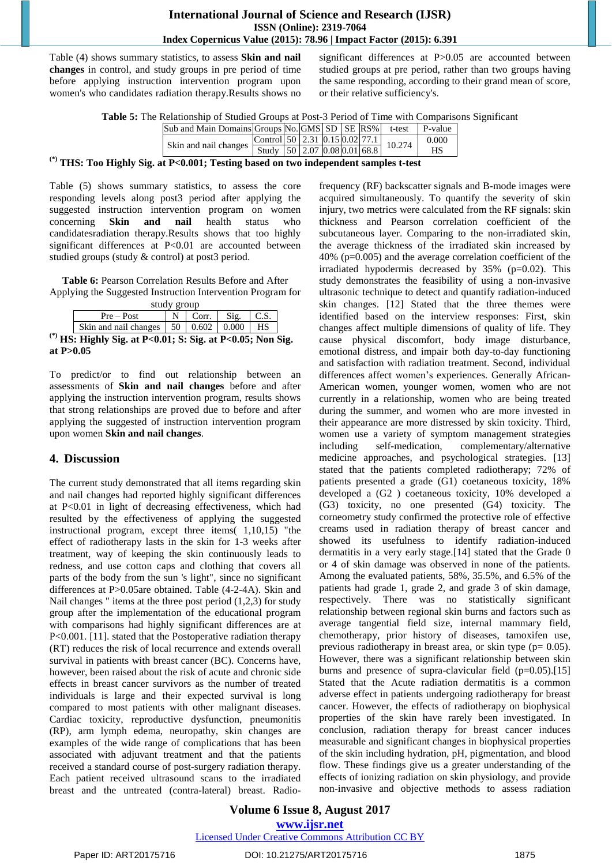Table (4) shows summary statistics, to assess **Skin and nail changes** in control, and study groups in pre period of time before applying instruction intervention program upon women's who candidates radiation therapy.Results shows no significant differences at P>0.05 are accounted between studied groups at pre period, rather than two groups having the same responding, according to their grand mean of score, or their relative sufficiency's.

|  |  | Table 5: The Relationship of Studied Groups at Post-3 Period of Time with Comparisons Significant |  |  |
|--|--|---------------------------------------------------------------------------------------------------|--|--|
|--|--|---------------------------------------------------------------------------------------------------|--|--|

|        |                                           | $\vert$ Sub and Main Domains Groups No. GMS $\vert$ SD $\vert$ SE $\vert$ RS% $\vert$ t-test $\vert$ P-value |  |  |  |       |
|--------|-------------------------------------------|--------------------------------------------------------------------------------------------------------------|--|--|--|-------|
|        |                                           | Skin and nail changes<br>Study 50 2.07 0.08 0.01 68.8 10.274                                                 |  |  |  | 0.000 |
|        |                                           |                                                                                                              |  |  |  | HS    |
| $\sim$ | $\sim$ $\sim$ $\sim$ $\sim$ $\sim$ $\sim$ |                                                                                                              |  |  |  |       |

**(\*) THS: Too Highly Sig. at P<0.001; Testing based on two independent samples t-test**

Table (5) shows summary statistics, to assess the core responding levels along post3 period after applying the suggested instruction intervention program on women concerning **Skin and nail** health status who candidatesradiation therapy.Results shows that too highly significant differences at P<0.01 are accounted between studied groups (study & control) at post3 period.

**Table 6:** Pearson Correlation Results Before and After Applying the Suggested Instruction Intervention Program for

| study group                                                                                                                                                                                                                                                                                        |  |       |      |  |
|----------------------------------------------------------------------------------------------------------------------------------------------------------------------------------------------------------------------------------------------------------------------------------------------------|--|-------|------|--|
| $Pre - Post$                                                                                                                                                                                                                                                                                       |  | Corr. | Sig. |  |
| Skin and nail changes $\vert 50 \vert 0.602 \vert 0.000 \vert$ HS                                                                                                                                                                                                                                  |  |       |      |  |
| $\mathbb{C}$ . Hably $\mathbb{C}^1$ and $\mathbb{D}$ and $\mathbb{C}$ and $\mathbb{C}$ and $\mathbb{C}$ and $\mathbb{C}$ and $\mathbb{C}$ and $\mathbb{C}$ and $\mathbb{C}$ and $\mathbb{C}$ and $\mathbb{C}$ and $\mathbb{C}$ and $\mathbb{C}$ and $\mathbb{C}$ and $\mathbb{C}$ and $\mathbb{C}$ |  |       |      |  |

**(\*) HS: Highly Sig. at P<0.01; S: Sig. at P<0.05; Non Sig. at P>0.05**

To predict/or to find out relationship between an assessments of **Skin and nail changes** before and after applying the instruction intervention program, results shows that strong relationships are proved due to before and after applying the suggested of instruction intervention program upon women **Skin and nail changes**.

## **4. Discussion**

The current study demonstrated that all items regarding skin and nail changes had reported highly significant differences at P<0.01 in light of decreasing effectiveness, which had resulted by the effectiveness of applying the suggested instructional program, except three items( 1,10,15) "the effect of radiotherapy lasts in the skin for 1-3 weeks after treatment, way of keeping the skin continuously leads to redness, and use cotton caps and clothing that covers all parts of the body from the sun 's light", since no significant differences at P>0.05are obtained. Table (4-2-4A). Skin and Nail changes  $"$  items at the three post period  $(1,2,3)$  for study group after the implementation of the educational program with comparisons had highly significant differences are at P<0.001. [11]. stated that the Postoperative radiation therapy (RT) reduces the risk of local recurrence and extends overall survival in patients with breast cancer (BC). Concerns have, however, been raised about the risk of acute and chronic side effects in breast cancer survivors as the number of treated individuals is large and their expected survival is long compared to most patients with other malignant diseases. Cardiac toxicity, reproductive dysfunction, pneumonitis (RP), arm lymph edema, neuropathy, skin changes are examples of the wide range of complications that has been associated with adjuvant treatment and that the patients received a standard course of post-surgery radiation therapy. Each patient received ultrasound scans to the irradiated breast and the untreated (contra-lateral) breast. Radiofrequency (RF) backscatter signals and B-mode images were acquired simultaneously. To quantify the severity of skin injury, two metrics were calculated from the RF signals: skin thickness and Pearson correlation coefficient of the subcutaneous layer. Comparing to the non-irradiated skin, the average thickness of the irradiated skin increased by 40% (p=0.005) and the average correlation coefficient of the irradiated hypodermis decreased by 35% (p=0.02). This study demonstrates the feasibility of using a non-invasive ultrasonic technique to detect and quantify radiation-induced skin changes. [12] Stated that the three themes were identified based on the interview responses: First, skin changes affect multiple dimensions of quality of life. They cause physical discomfort, body image disturbance, emotional distress, and impair both day-to-day functioning and satisfaction with radiation treatment. Second, individual differences affect women's experiences. Generally African-American women, younger women, women who are not currently in a relationship, women who are being treated during the summer, and women who are more invested in their appearance are more distressed by skin toxicity. Third, women use a variety of symptom management strategies including self-medication, complementary/alternative medicine approaches, and psychological strategies. [13] stated that the patients completed radiotherapy; 72% of patients presented a grade (G1) coetaneous toxicity, 18% developed a (G2 ) coetaneous toxicity, 10% developed a (G3) toxicity, no one presented (G4) toxicity. The corneometry study confirmed the protective role of effective creams used in radiation therapy of breast cancer and showed its usefulness to identify radiation-induced dermatitis in a very early stage.[14] stated that the Grade 0 or 4 of skin damage was observed in none of the patients. Among the evaluated patients, 58%, 35.5%, and 6.5% of the patients had grade 1, grade 2, and grade 3 of skin damage, respectively. There was no statistically significant relationship between regional skin burns and factors such as average tangential field size, internal mammary field, chemotherapy, prior history of diseases, tamoxifen use, previous radiotherapy in breast area, or skin type  $(p= 0.05)$ . However, there was a significant relationship between skin burns and presence of supra-clavicular field (p=0.05).[15] Stated that the Acute radiation dermatitis is a common adverse effect in patients undergoing radiotherapy for breast cancer. However, the effects of radiotherapy on biophysical properties of the skin have rarely been investigated. In conclusion, radiation therapy for breast cancer induces measurable and significant changes in biophysical properties of the skin including hydration, pH, pigmentation, and blood flow. These findings give us a greater understanding of the effects of ionizing radiation on skin physiology, and provide non-invasive and objective methods to assess radiation

**Volume 6 Issue 8, August 2017 <www.ijsr.net>** [Licensed Under Creative Commons Attribution CC BY](http://creativecommons.org/licenses/by/4.0/)